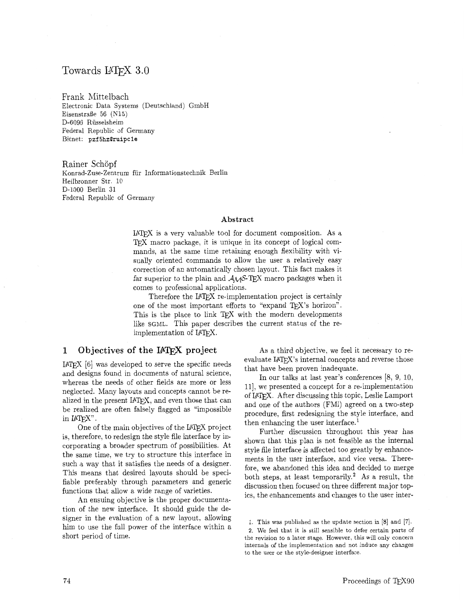# Towards IAT<sub>F</sub>X 3.0

Frank Mittelbach Electronic Data Systems (Deutschland) GmbH Eisenstraße 56 (N15) D-6090 Rüsselsheim Federal Republic of Germany Bitnet: **pzf 5hzQruipcle** 

Rainer Schöpf Konrad-Zuse-Zentrum für Informationstechnik Berlin Heilbronner Str. 10 D-1000 Berlin 31 Federal Republic of Germany

#### **Abstract**

IATEX is a very valuable tool for document composition. As a T<sub>E</sub>X macro package, it is unique in its concept of logical commands, at the same time retaining enough flexibility with visually oriented commands to allow the user a relatively easy correction of an automatically chosen layout. This fact makes it far superior to the plain and  $A_{\mathcal{M}}S$ -TEX macro packages when it comes to professional applications.

Therefore the IATEX re-implementation project is certainly one of the most important efforts to "expand T<sub>E</sub>X's horizon". This is the place to link TFX with the modern developments like SGML. This paper describes the current status of the reimplementation of IATEX.

## **1** Objectives of the IAT<sub>E</sub>X project

IATFX [6] was developed to serve the specific needs and designs found in documents of natural science, whereas the needs of other fields are more or less neglected. Many layouts and concepts cannot be realized in the present IATEX, and even those that can be realized are often falsely flagged as "impossible in  $IATFX$ ".

One of the main objectives of the IATFX project is, therefore, to redesign the style file interface by incorporating a broader spectrum of possibilities. At the same time, we try to structure this interface in such a way that it satisfies the needs of a designer. This means that desired layouts should be specifiable preferably through parameters and generic functions that allow a wide range of varieties.

An ensuing objective is the proper documentation of the new interface. It should guide the designer in the evaluation of a new layout. allowing him to use the full power of the interface within a short period of time.

As a third objective, we feel it necessary to re $e$  evaluate  $\text{IATFX's internal concepts}$  and reverse those that have been proven inadequate.

In our talks at last year's conferences [8, 9, 10, 111, we presented a concept for a re-implementation of LAW. After discussing this topic, Leslie Lamport and one of the authors (FMi) agreed on a two-step procedure, first redesigning the style interface, and then enhancing the user interface.<sup>1</sup>

Further discussion throughout this year has shown that this plan is not feasible as the internal style file interface is affected too greatly by enhancements in the user interface, and vice versa. Therefore, we abandoned this idea and decided to merge both steps, at least temporarily.<sup>2</sup> As a result, the discussion then focused on three different major topics, the enhancements and changes to the user inter-

1. This was published as the update section in [8] and **[7]. 2.** We feel that it is still sensible to defer certain parts of the revision to a later stage. However, this will only concern internals of the implementation and not induce any changes to the user or the style-designer interface.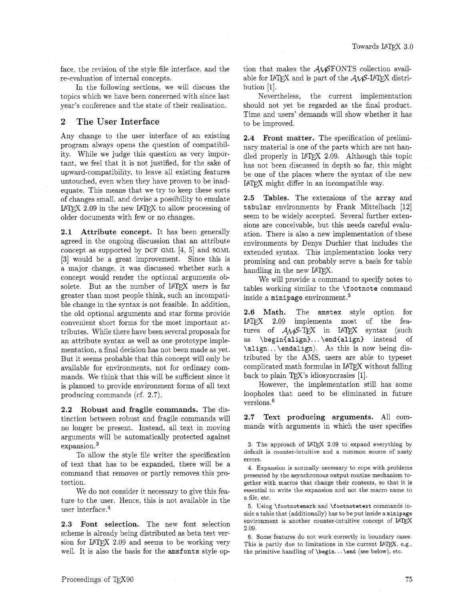face, the revision of the style file interface, and the re-evaluation of internal concepts.

In the following sections, we will discuss the topics which we have been concerned with since last year's conference and the state of their realisation.

## **2** The User Interface

Any change to the user interface of an existing program always opens the question of compatibility. While we judge this question as very important, we feel that it is not justified, for the sake of upward-compatibility, to leave all existing features untouched, even when they have proven to be inadequate. This means that we try to keep these sorts of changes small, and devise a possibility to emulate  $IATEX$  2.09 in the new  $IATEX$  to allow processing of older documents with few or no changes.

**2.1** Attribute concept. It has been generally agreed in the ongoing discussion that an attribute concept as supported by **DCF** GML [4, 51 and SGML **[3]** would be a great improvement. Since this is a major change, it was discussed whether such a concept would render the optional arguments obsolete. But as the number of IATFX users is far greater than most people think, such an incompatible change in the syntax is not feasible. In addition, the old optional arguments and star forms provide convenient short forms for the most important attributes. While there have been several proposals for an attribute syntax as well as one prototype implementation, a final decision has not been made as yet. But it seems probable that this concept will only be available for environments, not for ordinary commands. We think that this will be sufficient since it is planned to provide environment forms of all text producing commands (cf. 2.7).

**2.2** Robust and fragile commands. The distinction between robust and fragile commands will no longer be present. Instead, all text in moving arguments will be automatically protected against expansion.3

To allow the style file writer the specification of text that has to be expanded, there will be a command that removes or partly removes this protection.

We do not consider it necessary to give this feature to the user. Hence, this is not available in the user interface. $4$ 

**2.3** Font selection. The new font selection scheme is already being distributed as beta test version for  $IATFX$  2.09 and seems to be working very well. It is also the basis for the **amsfonts** style option that makes the  $A\mathcal{M}S$ FONTS collection available for IATFX and is part of the  $A\mathcal{M}S$ -IATFX distribution [I].

Nevertheless, the current implementation should not yet be regarded as the final product. Time and users' demands will show whether it has to be improved.

**2.4** Front matter. The specification of preliminary material is one of the parts which are not handled properly in IATFX 2.09. Although this topic has not been discussed in depth so far, this might be one of the places where the syntax of the new IATEX might differ in an incompatible way.

2.5 Tables. The extensions of the **array** and **tabular** environments by Frank Mittelbach [I21 seem to be widely accepted. Several further extensions are conceivable, but this needs careful evaluation. There is also a new implementation of these environments by Denys Duchier that includes the extended syntax. This implementation looks very promising and can probably serve a basis for table handling in the new IATFX.

We will provide a command to specify notes to tables working similar to the **\footnote** command inside a minipage environment.<sup>5</sup>

2.6 Math. The **amstex** style option for I4W 2.09 implements most of the features of  $A\mathcal{M}S$ -TFX in IATFX syntax (such as **\begin{align}...\end{align}** instead of **\align.** . . **\endalign).** As this is now being distributed by the AMS, users are able to typeset complicated math formulas in IAT<sub>E</sub>X without falling back to plain TEX's idiosyncrasies  $[1]$ .

However, the implementation still has some loopholes that need to be eliminated in future versions.<sup>6</sup>

2.7 Text producing arguments. All commands with arguments in which the user specifies

4. Expansion is normally necessary to cope with problems presented by the asynchronous output routine mechanism together with macros that change their contents, so that it is essential to write the expansion and not the macro name to a file, etc.

5. Using \footnotemark and \footnotetext commands inside a table that (additionally) has to be put inside a minipage environment is another counter-intuitive concept of IATEX 2.09.

6. Some features do not work correctly in boundary cases. This is partly due to limitations in the current IATEX, e.g., the primitive handling of  $\begin{array}{c} \text{ and (see below)}, \text{etc.} \end{array}$ 

<sup>3.</sup> The approach of L<sup>A</sup>T<sub>E</sub>X 2.09 to expand everything by default is counter-intuitive and a common source of nasty errors.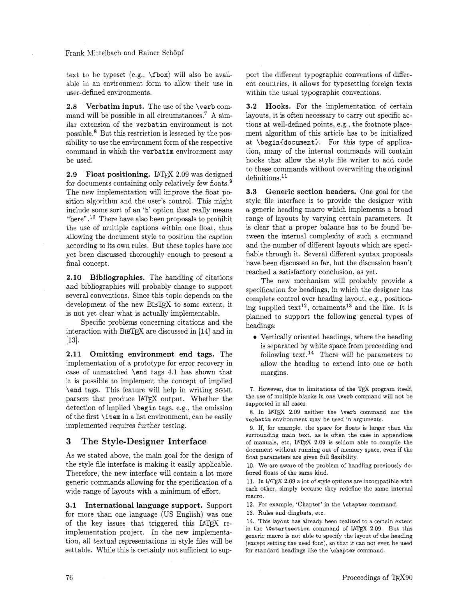#### Frank Mittelbach and Rainer Schöpf

text to be typeset (e.g., \fbox) will also be available in an environment form to allow their use in user-defined environments.

**2.8** Verbatim input. The use of the \verb command will be possible in all circumstance^.^ **A** similar extension of the verbatim environment is not possible.8 But this restriction is lessened by the possibility to use the environment form of the respective command in which the verbatim environment may be used.

**2.9 Float positioning. IATFX 2.09** was designed for documents containing only relatively few floats. $9$ The new implementation will improve the float position algorithm and the user's control. This might include some sort of an 'h' option that really means "here".<sup>10</sup> There have also been proposals to prohibit the use of multiple captions within one float. thus allowing the document style to position the caption according to its own rules. But these topics have not yet been discussed thoroughly enough to present a final concept.

**2.10** Bibliographies. The handling of citations and bibliographies will probably change to support several conventions. Since this topic depends on the development of the new BIBTEX to some extent, it is not yet clear what is actually implementable.

Specific problems concerning citations and the interaction with BIBTFX are discussed in  $[14]$  and in  $[13]$ .

**2.11** Omitting environment end tags. The implementation of a prototype for error recovery in case of unmatched \end tags 4.1 has shown that it is possible to implement the concept of implied \end tags. This feature will help in writing SGML parsers that produce IATEX output. Whether the detection of implied \begin tags, e.g., the omission of the first \item in a list environment, can be easily implemented requires further testing.

### 3 The Style-Designer Interface

As we stated above, the main goal for the design of the style file interface is making it easily applicable. Therefore, the new interface will contain a lot more generic commands allowing for the specification of a wide range of layouts with a minimum of effort.

**3.1** International language support. Support for more than one language (US English) was one of the key issues that triggered this IATEX reimplementation project. In the new implementation, all textual representations in style files will be settable. While this is certainly not sufficient to support the different typographic conventions of different countries, it allows for typesetting foreign texts within the usual typographic conventions.

3.2 Hooks. For the implementation of certain layouts, it is often necessary to carry out specific actions at well-defined points, e.g., the footnote placement algorithm of this article has to be initialized at \begin{document). For this type of application, many of the internal commands will contain hooks that allow the style file writer to add code to these commands without overwriting the original definitions.<sup>11</sup>

**3.3** Generic section headers. One goal for the style file interface is to provide the designer with a generic heading macro which implements a broad range of layouts by varying certain parameters. It is clear that a proper balance has to be found between the internal complexity of such a command and the number of different layouts which are specifiable through it. Several different syntax proposals have been discussed so far, but the discussion hasn't reached a satisfactory conclusion, as yet.

The new mechanism will probably provide a specification for headings, in which the designer has complete control over heading layout, e.g., positioning supplied text<sup>12</sup>, ornaments<sup>13</sup> and the like. It is planned to support the following general types of headings:

Vertically oriented headings, where the heading is separated by white space from preceeding and following text.<sup>14</sup> There will be parameters to allow the heading to extend into one or both margins.

7. However, due to limitations of the TEX program itself, the use of multiple blanks in one \verb command will not be supported in all cases.

8. In IATEX 2.09 neither the \verb command nor the verbatim environment may be used in arguments.

9. If, for example, the space for floats is larger than the surrounding main text, as is often the case in appendices of manuals, etc, IATEX 2.09 is seldom able to compile the document without running out of memory space, even if the float parameters are given full flexibility.

10. We are aware of the problem of handling previously deferred floats of the same kind.

11. In LATEX 2.09 a lot of style options are incompatible with each other, simply because they redefine the same internal macro.

12. For example, 'Chapter' in the \chapter command.

13. Rules and dingbats, etc.

14. This layout has already been realized to a certain extent in the  $\text{Costartsection}$  command of IAT<sub>E</sub>X 2.09. But this generic macro is not able to specify the layout of the heading (except setting the used font), so that it can not even be used for standard headings like the \chapter command.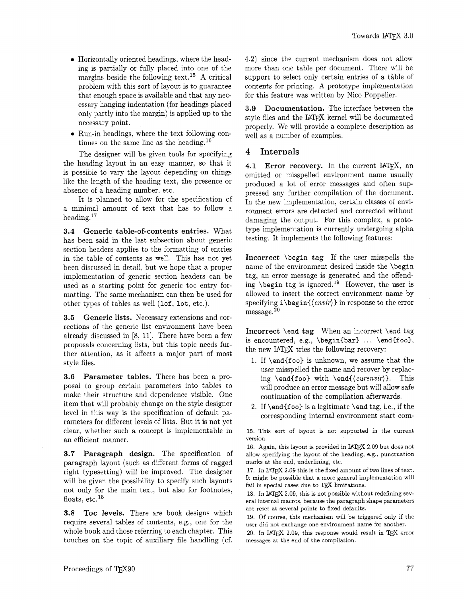- Horizontally oriented headings. where the heading is partially or fully placed into one of the margins beside the following text.15 A critical problem with this sort of layout is to guarantee that enough space is available and that any necessary hanging indentation (for headings placed only partly into the margin) is applied up to the necessary point.
- **0**  Run-in headings, where the text following continues on the same line as the heading.16

the heading layout in an easy manner, so that it The designer will be given tools for specifying is possible to vary the layout depending on things like the length of the heading text, the presence or absence of a heading number, etc.

It is planned to allow for the specification of a minimal amount of text that has to follow a heading.17

3.4 Generic table-of-contents entries. What has been said in the last subsection about generic section headers applies to the formatting of entries in the table of contents as well. This has not yet been discussed in detail, but we hope that a proper implementation of generic section headers can be used as a starting point for generic toc entry formatting. The same mechanism can then be used for other types of tables as well (lof, lot, etc.).

**3.5** Generic lists. Necessary extensions and corrections of the generic list environment have been already discussed in  $[8, 11]$ . There have been a few proposals concerning lists, but this topic needs further attention. as it affects a major part of most style files.

3.6 Parameter tables. There has been a proposal to group certain parameters into tables to make their structure and dependence visible. One item that will probably change on the style designer level in this way is the specification of default parameters for different levels of lists. But it is not yet clear, whether such a concept is implementable in an efficient manner.

3.7 Paragraph design. The specification of paragraph layout (such as different forms of ragged right typesetting) will be improved. The designer will be given the possibility to specify such layouts not only for the main text, but also for footnotes, floats, etc.<sup>18</sup>

3.8 Toc levels. There are book designs which require several tables of contents, e.g., one for the whole book and those referring to each chapter. This touches on the topic of auxiliary file handling (cf.

4.2) since the current mechanism does not allow more than one table per document. There will be support to select only certain entries of a table of contents for printing. A prototype implementation for this feature was written by Nico Poppelier.

3.9 Documentation. The interface between the style files and the IATFX kernel will be documented properly. We will provide a complete description as well as a number of examples.

## **4** Internals

4.1 Error recovery. In the current IAT<sub>F</sub>X, an omitted or misspelled environment name usually produced a lot of error messages and often suppressed any further compilation of the document. In the new implementation, certain classes of environment errors are detected and corrected without damaging the output. For this complex, a prototype implementation is currently undergoing alpha testing. It implements the following features:

Incorrect \begin tag If the user misspells the name of the environment desired inside the \begin tag, an error message is generated and the offending \begin tag is ignored.<sup>19</sup> However, the user is allowed to insert the correct environment name by specifying  $i\begin{{pmatrix} envir \end{pmatrix}$  in response to the error  $m$ essage. $20$ 

Incorrect \end tag When an incorrect \end tag is encountered, e.g.,  $\begin{bmatrix} 0 & 1 \\ 0 & 1 \end{bmatrix}$ ...  $\end{bmatrix}$ the new IATFX tries the following recovery:

- 1. If \end{foo) is unknown, we assume that the user misspelled the name and recover by replacing \end{foo} with \end{(curenvir)}. This will produce an error message but will allow safe continuation of the compilation afterwards.
- 2. If  $\end{array}$  is a legitimate  $\end{array}$  and tag, i.e., if the corresponding internal environment start com-

15. This sort of layout is not supported in the current version.

16. Again, this layout is provided in IATFX 2.09 but does not allow specifying the layout of the heading, e.g., punctuation marks at the end, underlining, etc.

17. In IATEX 2.09 this is the fixed amount of two lines of text. It might be possible that a more general implementation will fail in special cases due to TEX limitations.

18. In IATEX 2.09, this is not possible without redefining several internal macros, because the paragraph shape parameters are reset at several points to fixed defaults.

19. Of course, this mechanism will be triggered only if the user did not exchange one environment name for another.

20. In IATFX 2.09, this response would result in TFX error messages at the end of the compilation.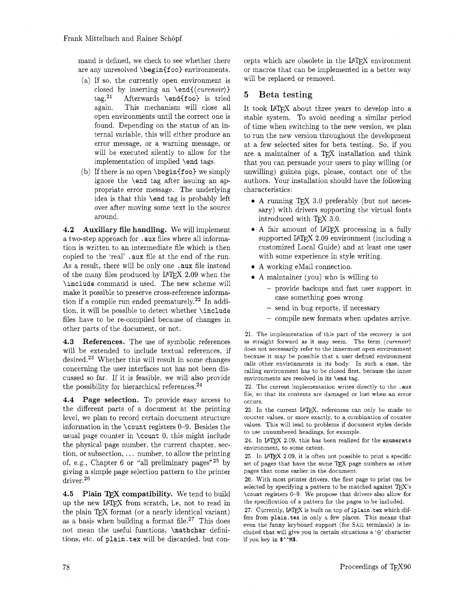mand is defined, we check to see whether there are any unresolved **\begin(f oo)** environments.

- (a) If so, the currently open environment is closed by inserting an **\end**{*(curenvir*)} tag.<sup>21</sup> Afterwards **\end{foo}** is tried again. This mechanism will close all open environments until the correct one is found. Depending on the status of an internal variable, this will either produce an error message. or a warning message, or will be executed silently to allow for the implementation of implied **\end** tags.
- (b) If there is no open **\beginif 00)** we simply ignore the **\end** tag after issuing an appropriate error message. The underlying idea is that this **\end** tag is probably left over after moving some text in the source around.

**4.2 Auxiliary file handling.** We will implement a two-step approach for . **aux** files where all information is written to an intermediate file which is then copied to the 'real' . **aux** file at the end of the run. As a result, there will be only one . **aux** file instead of the many files produced by  $IATFX$  2.09 when the **\include** command is used. The new scheme will make it possible to preserve cross-reference information if a compile run ended prematurely.<sup>22</sup> In addition. it will be possible to detect whether **\include**  files have to be re-compiled because of changes in other parts of the document, or not.

**4.3 References.** The use of symbolic references will be extended to include textual references, if desired.23 Whether this will result in some changes concerning the user interfaces not has not been discussed so far. If it is feasible, we will also provide the possibility for hierarchical references. $^{24}$ 

**4.4 Page selection.** To provide easy access to the different parts of a document at the printing level, we plan to record certain document structure information in the **\count** registers 0-9. Besides the usual page counter in **\count** 0, this might include the physical page number, the current chapter. section, or subsection, . . . number, to allow the printing of, e.g., Chapter 6 or "all preliminary pages"<sup>25</sup> by giving a simple page selection pattern to the printer driver.26

**4.5 Plain TFX compatibility.** We tend to build up the new UTEX from scratch, i.e, not to read in the plain TEX format (or a nearly identical variant) as a basis when building a format file.<sup>27</sup> This does not mean the useful functions, **\mathchar** definitions, etc. of **plain.tex** will be discarded. but concepts which are obsolete in the  $IATFX$  environment or macros that can be implemented in a better way will be replaced or removed.

## **5 Beta** testing

It took IATFX about three years to develop into a stable system. To avoid needing a similar period of time when switching to the new version, we plan to run the new version throughout the development at a few selected sites for beta testing. So, if you are a maintainer of a TEX installation and think that you can persuade your users to play willing (or unwilling) guinea pigs, please, contact one of the authors. Your installation should have the following characteristics:

- $\bullet$  A running TFX 3.0 preferably (but not necessary) with drivers supporting the virtual fonts introduced with TFX 3.0.
- A fair amount of IATEX processing in a fully supported IATEX 2.09 environment (including a customized Local Guide) and at least one user with some experience in style writing.
- A working eMail connection.
- A maintainer (you) who is willing to
	- provide backups and fast user support in case something goes wrong
	- send in bug reports, if necessary
	- compile new formats when updates arrive.

**21.** The implementation of this part of the recovery is not as straight forward as it may seem. The term  $\langle \textit{curenvir} \rangle$ does not necessarily refer to the innermost open environment because it may be possible that a user defined environment calls other environments in its body. In such a case, the calling environment has to be closed first, because the inner environments are resolved in its \end tag.

**22.** The current implementation writes directly to the .aux file, so that its contents are damaged or lost when an error occurs.

23. In the current IATEX, references can only be made to counter values, or more exactly, to a combination of counter values. This will lead to problems if document styles decide to use unnumbered headings, for example.

24. In IATEX 2.09, this has been realized for the enumerate environment, to some extent.

25. In IATEX 2.09, it is often not possible to print a specific set of pages that have the same TEX page numbers as other pages that come earlier in the document.

**26.** With most printer drivers, the first page to print can be selected by specifying a pattern to be matched against  $TEX$ 's \count registers **0-9.** We propose that drivers also allow for the specification of a pattern for the pages to be included.

27. Currently, IATEX is built on top of 1plain. tex which differs from plain.tex in only a few places. This means that even the funny keyboard support (for SAIL terminals) is included that will give you in certain situations a ' $\oplus$ ' character if you key in  $\mathbf{\$^2$M\$ .